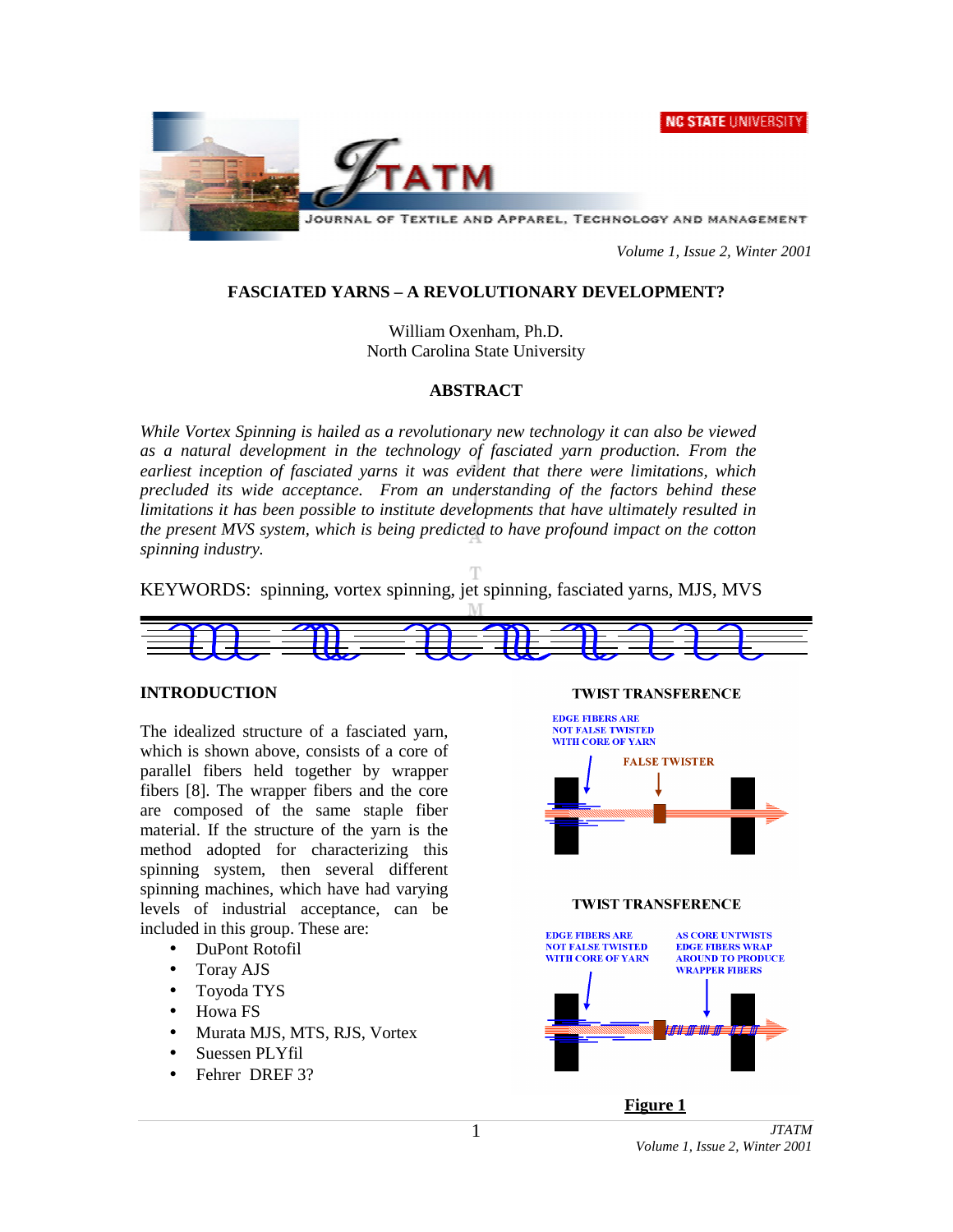**NC STATE UNIVERSITY** 



*Volume 1, Issue 2, Winter 2001*

## **FASCIATED YARNS – A REVOLUTIONARY DEVELOPMENT?**

William Oxenham, Ph.D. North Carolina State University

## **ABSTRACT**

*While Vortex Spinning is hailed as a revolutionary new technology it can also be viewed as a natural development in the technology of fasciated yarn production. From the earliest inception of fasciated yarns it was evident that there were limitations, which precluded its wide acceptance. From an understanding of the factors behind these limitations it has been possible to institute developments that have ultimately resulted in the present MVS system, which is being predicted to have profound impact on the cotton spinning industry.*

KEYWORDS: spinning, vortex spinning, jet spinning, fasciated yarns, MJS, MVS



## **INTRODUCTION**

The idealized structure of a fasciated yarn, which is shown above, consists of a core of parallel fibers held together by wrapper fibers [8]. The wrapper fibers and the core are composed of the same staple fiber material. If the structure of the yarn is the method adopted for characterizing this spinning system, then several different spinning machines, which have had varying levels of industrial acceptance, can be included in this group. These are:

- DuPont Rotofil
- Toray AJS
- Toyoda TYS
- Howa FS
- Murata MJS, MTS, RJS, Vortex
- Suessen PLYfil
- Fehrer DREF 3?





#### *JTATM Volume 1, Issue 2, Winter 2001*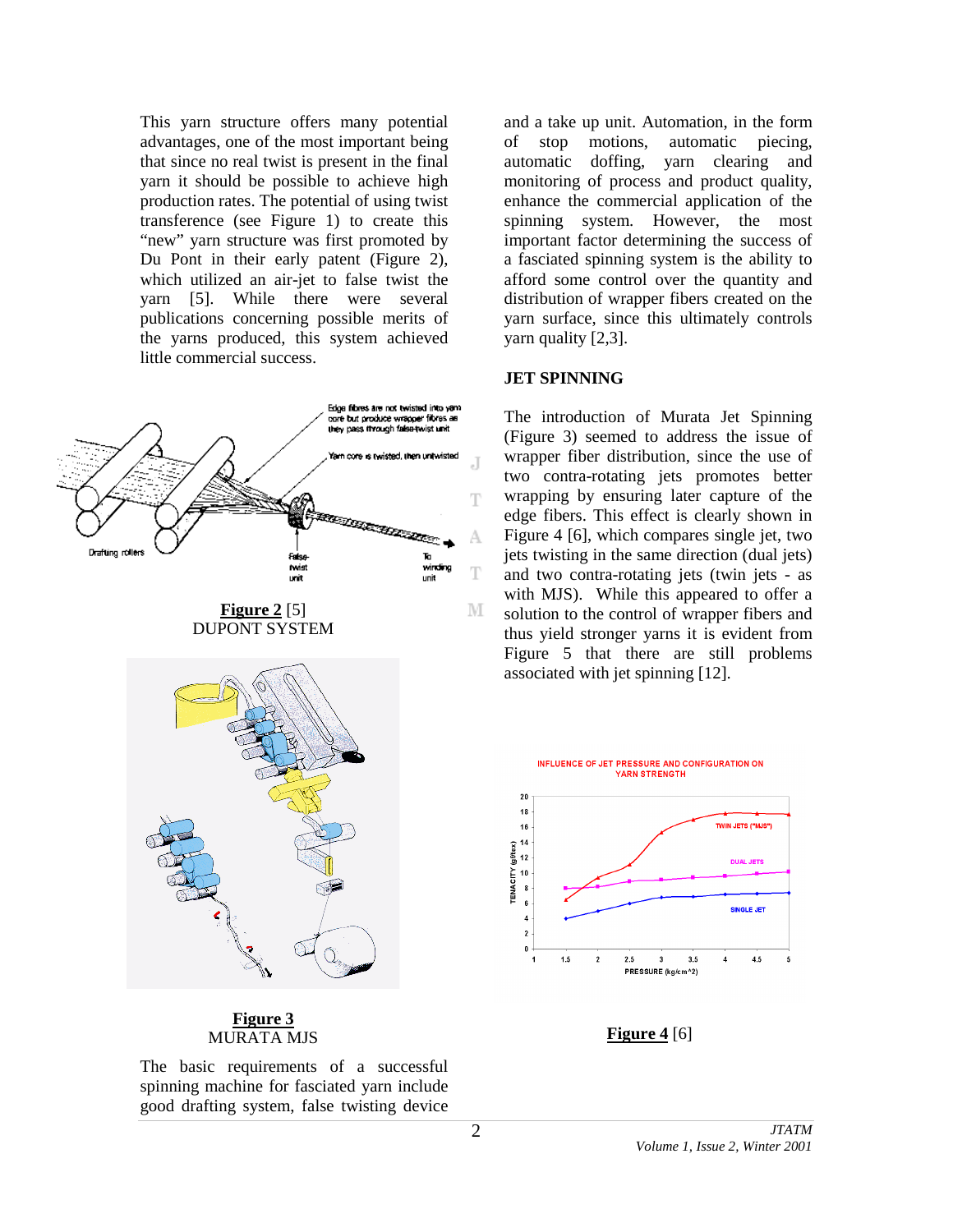This yarn structure offers many potential advantages, one of the most important being that since no real twist is present in the final yarn it should be possible to achieve high production rates. The potential of using twist transference (see Figure 1) to create this "new" yarn structure was first promoted by Du Pont in their early patent (Figure 2), which utilized an air-jet to false twist the yarn [5]. While there were several publications concerning possible merits of the yarns produced, this system achieved little commercial success.



**Figure 3** MURATA MJS **Figure 4** [6]

The basic requirements of a successful spinning machine for fasciated yarn include good drafting system, false twisting device

and a take up unit. Automation, in the form of stop motions, automatic piecing, automatic doffing, yarn clearing and monitoring of process and product quality, enhance the commercial application of the spinning system. However, the most important factor determining the success of a fasciated spinning system is the ability to afford some control over the quantity and distribution of wrapper fibers created on the yarn surface, since this ultimately controls yarn quality [2,3].

#### **JET SPINNING**

The introduction of Murata Jet Spinning (Figure 3) seemed to address the issue of wrapper fiber distribution, since the use of two contra-rotating jets promotes better wrapping by ensuring later capture of the edge fibers. This effect is clearly shown in Figure 4 [6], which compares single jet, two jets twisting in the same direction (dual jets) and two contra-rotating jets (twin jets - as with MJS). While this appeared to offer a solution to the control of wrapper fibers and thus yield stronger yarns it is evident from Figure 5 that there are still problems associated with jet spinning [12].

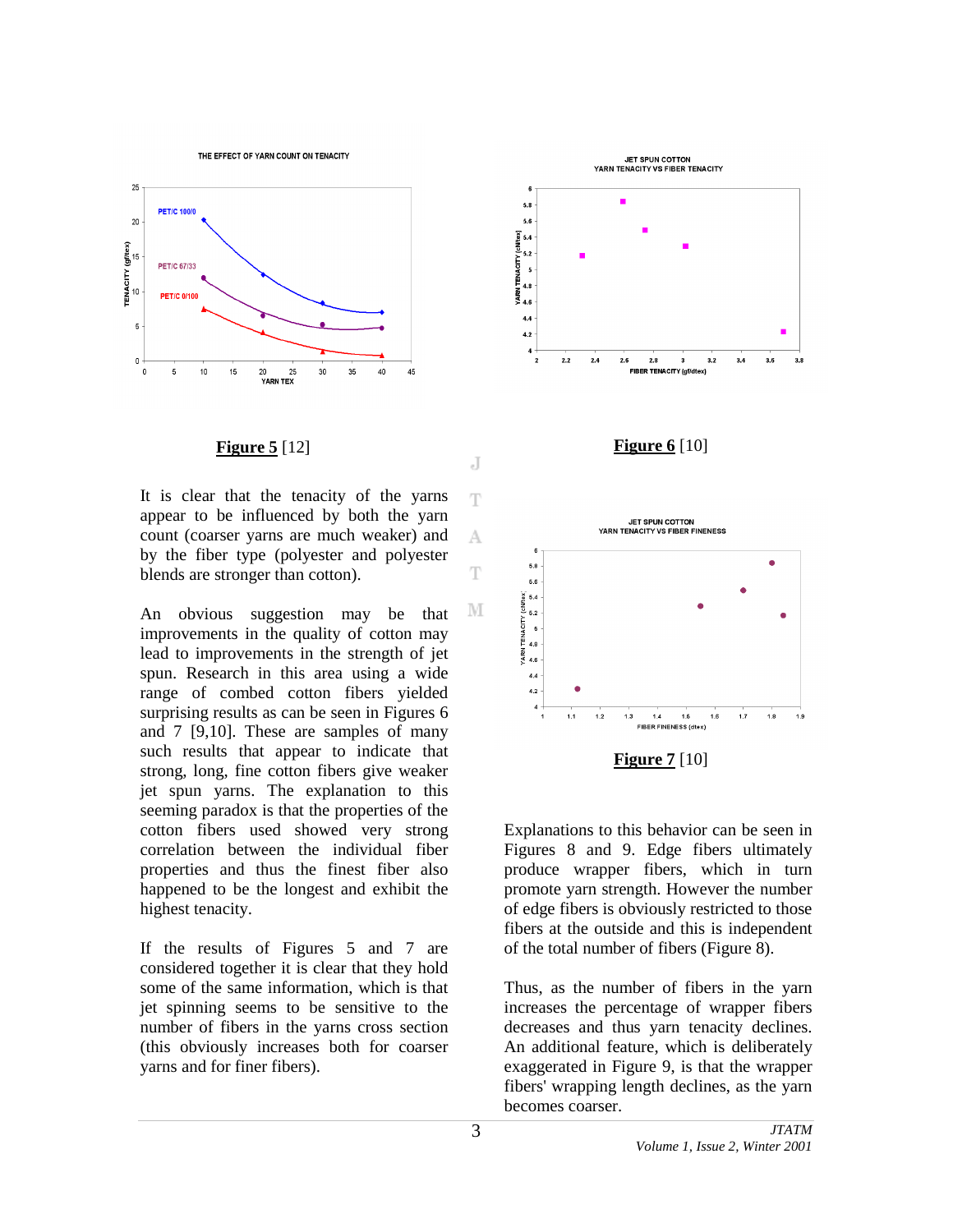THE EFFECT OF YARN COUNT ON TENACITY



It is clear that the tenacity of the yarns appear to be influenced by both the yarn count (coarser yarns are much weaker) and by the fiber type (polyester and polyester blends are stronger than cotton).

An obvious suggestion may be that improvements in the quality of cotton may lead to improvements in the strength of jet spun. Research in this area using a wide range of combed cotton fibers yielded surprising results as can be seen in Figures 6 and 7 [9,10]. These are samples of many such results that appear to indicate that strong, long, fine cotton fibers give weaker jet spun yarns. The explanation to this seeming paradox is that the properties of the cotton fibers used showed very strong correlation between the individual fiber properties and thus the finest fiber also happened to be the longest and exhibit the highest tenacity.

If the results of Figures 5 and 7 are considered together it is clear that they hold some of the same information, which is that jet spinning seems to be sensitive to the number of fibers in the yarns cross section (this obviously increases both for coarser yarns and for finer fibers).









Explanations to this behavior can be seen in Figures 8 and 9. Edge fibers ultimately produce wrapper fibers, which in turn promote yarn strength. However the number of edge fibers is obviously restricted to those fibers at the outside and this is independent of the total number of fibers (Figure 8).

Thus, as the number of fibers in the yarn increases the percentage of wrapper fibers decreases and thus yarn tenacity declines. An additional feature, which is deliberately exaggerated in Figure 9, is that the wrapper fibers' wrapping length declines, as the yarn becomes coarser.

Ŧ

A

T

М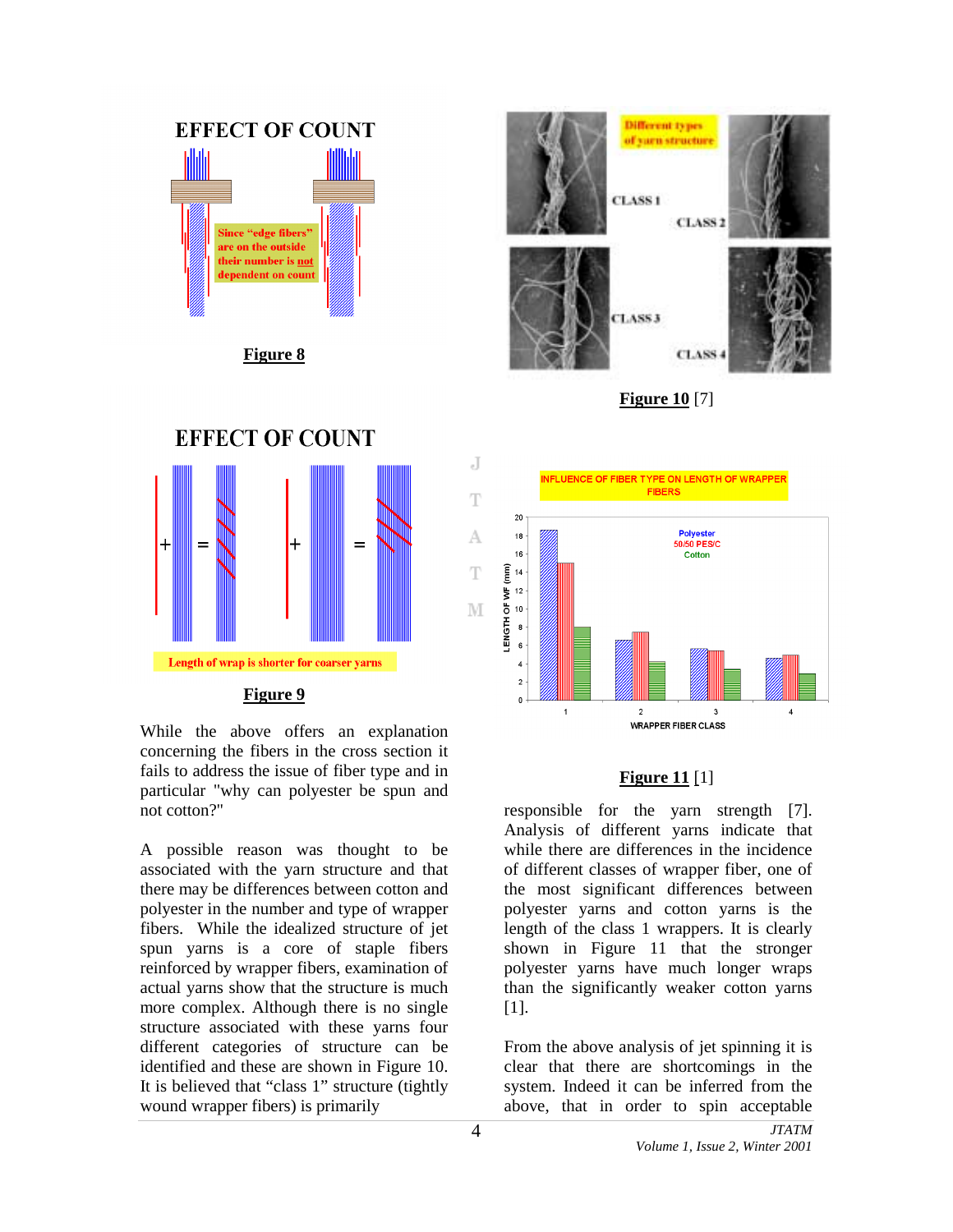

**Figure 8**



**Figure 10** [7]



While the above offers an explanation concerning the fibers in the cross section it fails to address the issue of fiber type and in particular "why can polyester be spun and not cotton?"

A possible reason was thought to be associated with the yarn structure and that there may be differences between cotton and polyester in the number and type of wrapper fibers. While the idealized structure of jet spun yarns is a core of staple fibers reinforced by wrapper fibers, examination of actual yarns show that the structure is much more complex. Although there is no single structure associated with these yarns four different categories of structure can be identified and these are shown in Figure 10. It is believed that "class 1" structure (tightly wound wrapper fibers) is primarily



## **Figure 11** [1]

responsible for the yarn strength [7]. Analysis of different yarns indicate that while there are differences in the incidence of different classes of wrapper fiber, one of the most significant differences between polyester yarns and cotton yarns is the length of the class 1 wrappers. It is clearly shown in Figure 11 that the stronger polyester yarns have much longer wraps than the significantly weaker cotton yarns [1].

From the above analysis of jet spinning it is clear that there are shortcomings in the system. Indeed it can be inferred from the above, that in order to spin acceptable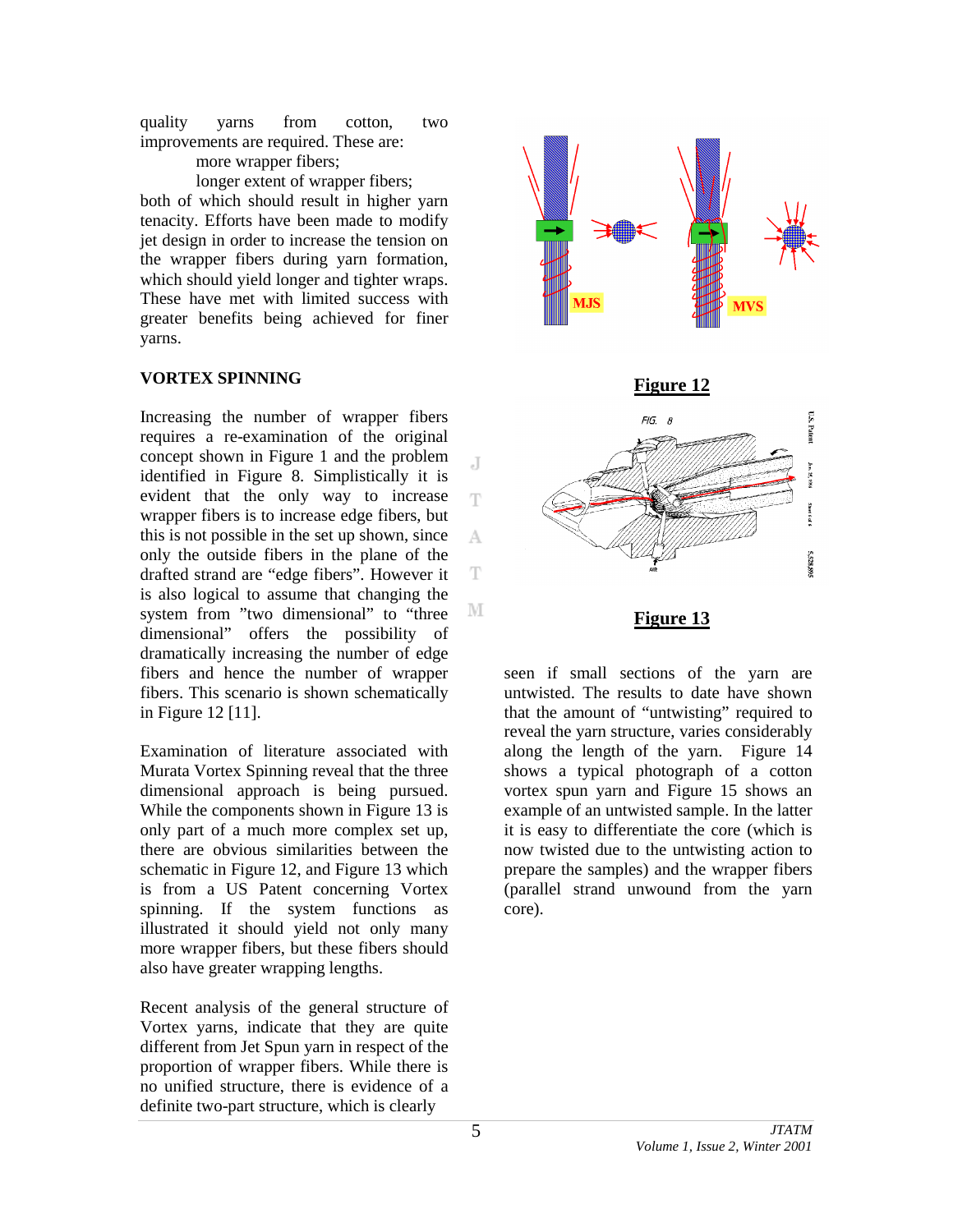quality yarns from cotton, two improvements are required. These are: more wrapper fibers;

longer extent of wrapper fibers; both of which should result in higher yarn

tenacity. Efforts have been made to modify jet design in order to increase the tension on the wrapper fibers during yarn formation, which should yield longer and tighter wraps. These have met with limited success with greater benefits being achieved for finer yarns.

## **VORTEX SPINNING**

Increasing the number of wrapper fibers requires a re-examination of the original concept shown in Figure 1 and the problem identified in Figure 8. Simplistically it is evident that the only way to increase wrapper fibers is to increase edge fibers, but this is not possible in the set up shown, since only the outside fibers in the plane of the drafted strand are "edge fibers". However it is also logical to assume that changing the system from "two dimensional" to "three dimensional" offers the possibility of dramatically increasing the number of edge fibers and hence the number of wrapper fibers. This scenario is shown schematically in Figure 12 [11].

Examination of literature associated with Murata Vortex Spinning reveal that the three dimensional approach is being pursued. While the components shown in Figure 13 is only part of a much more complex set up, there are obvious similarities between the schematic in Figure 12, and Figure 13 which is from a US Patent concerning Vortex spinning. If the system functions as illustrated it should yield not only many more wrapper fibers, but these fibers should also have greater wrapping lengths.

Recent analysis of the general structure of Vortex yarns, indicate that they are quite different from Jet Spun yarn in respect of the proportion of wrapper fibers. While there is no unified structure, there is evidence of a definite two-part structure, which is clearly



seen if small sections of the yarn are untwisted. The results to date have shown that the amount of "untwisting" required to reveal the yarn structure, varies considerably along the length of the yarn. Figure 14 shows a typical photograph of a cotton vortex spun yarn and Figure 15 shows an example of an untwisted sample. In the latter it is easy to differentiate the core (which is now twisted due to the untwisting action to prepare the samples) and the wrapper fibers (parallel strand unwound from the yarn core).

J

Ŧ

A

T

M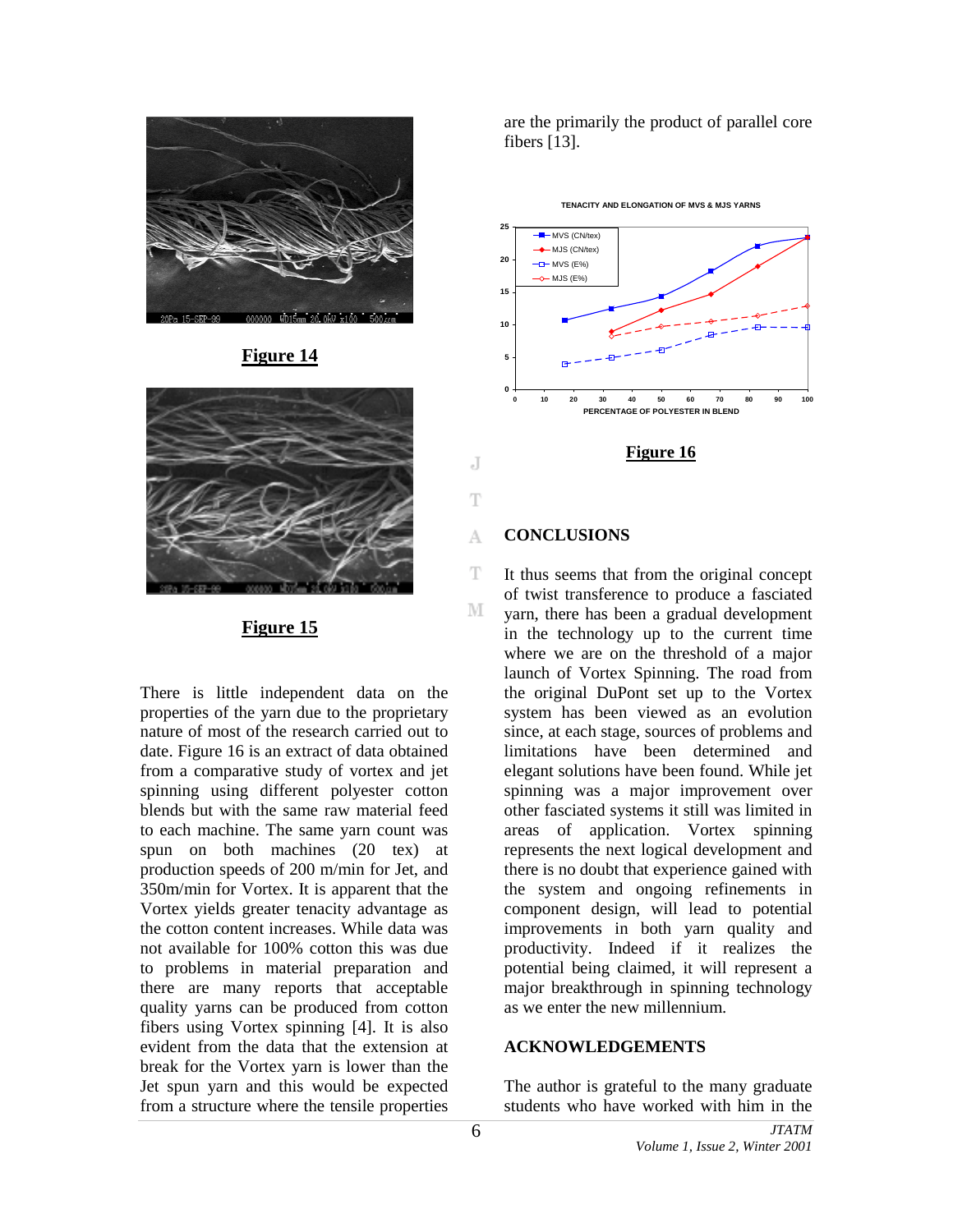

**Figure 14**



## **Figure 15**

There is little independent data on the properties of the yarn due to the proprietary nature of most of the research carried out to date. Figure 16 is an extract of data obtained from a comparative study of vortex and jet spinning using different polyester cotton blends but with the same raw material feed to each machine. The same yarn count was spun on both machines (20 tex) at production speeds of 200 m/min for Jet, and 350m/min for Vortex. It is apparent that the Vortex yields greater tenacity advantage as the cotton content increases. While data was not available for 100% cotton this was due to problems in material preparation and there are many reports that acceptable quality yarns can be produced from cotton fibers using Vortex spinning [4]. It is also evident from the data that the extension at break for the Vortex yarn is lower than the Jet spun yarn and this would be expected from a structure where the tensile properties

are the primarily the product of parallel core fibers [13].





## **Figure 16**

## **CONCLUSIONS**

J

T

A

T

M

It thus seems that from the original concept of twist transference to produce a fasciated yarn, there has been a gradual development in the technology up to the current time where we are on the threshold of a major launch of Vortex Spinning. The road from the original DuPont set up to the Vortex system has been viewed as an evolution since, at each stage, sources of problems and limitations have been determined and elegant solutions have been found. While jet spinning was a major improvement over other fasciated systems it still was limited in areas of application. Vortex spinning represents the next logical development and there is no doubt that experience gained with the system and ongoing refinements in component design, will lead to potential improvements in both yarn quality and productivity. Indeed if it realizes the potential being claimed, it will represent a major breakthrough in spinning technology as we enter the new millennium.

## **ACKNOWLEDGEMENTS**

The author is grateful to the many graduate students who have worked with him in the